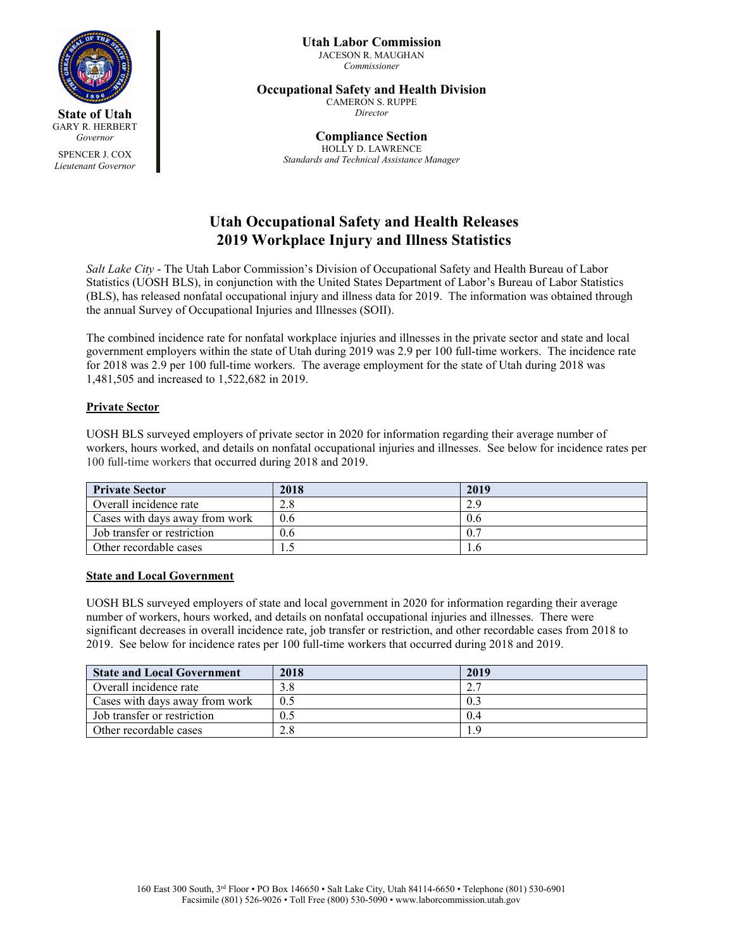

SPENCER J. COX *Lieutenant Governor*

#### **Utah Labor Commission** JACESON R. MAUGHAN *Commissioner*

## **Occupational Safety and Health Division**

CAMERON S. RUPPE *Director*

**Compliance Section** HOLLY D. LAWRENCE *Standards and Technical Assistance Manager*

# **Utah Occupational Safety and Health Releases 2019 Workplace Injury and Illness Statistics**

*Salt Lake City* - The Utah Labor Commission's Division of Occupational Safety and Health Bureau of Labor Statistics (UOSH BLS), in conjunction with the United States Department of Labor's Bureau of Labor Statistics (BLS), has released nonfatal occupational injury and illness data for 2019. The information was obtained through the annual Survey of Occupational Injuries and Illnesses (SOII).

The combined incidence rate for nonfatal workplace injuries and illnesses in the private sector and state and local government employers within the state of Utah during 2019 was 2.9 per 100 full-time workers. The incidence rate for 2018 was 2.9 per 100 full-time workers. The average employment for the state of Utah during 2018 was 1,481,505 and increased to 1,522,682 in 2019.

## **Private Sector**

UOSH BLS surveyed employers of private sector in 2020 for information regarding their average number of workers, hours worked, and details on nonfatal occupational injuries and illnesses. See below for incidence rates per 100 full-time workers that occurred during 2018 and 2019.

| <b>Private Sector</b>          | 2018 | 2019 |
|--------------------------------|------|------|
| Overall incidence rate         | 2.8  | 2.9  |
| Cases with days away from work | 0.6  | 0.6  |
| Job transfer or restriction    | 0.6  |      |
| Other recordable cases         |      |      |

## **State and Local Government**

UOSH BLS surveyed employers of state and local government in 2020 for information regarding their average number of workers, hours worked, and details on nonfatal occupational injuries and illnesses. There were significant decreases in overall incidence rate, job transfer or restriction, and other recordable cases from 2018 to 2019. See below for incidence rates per 100 full-time workers that occurred during 2018 and 2019.

| <b>State and Local Government</b> | 2018 | 2019  |
|-----------------------------------|------|-------|
| Overall incidence rate            | 3.8  |       |
| Cases with days away from work    | 0.5  |       |
| Job transfer or restriction       | 0.5  | (0.4) |
| Other recordable cases            | 2.8  | - C   |